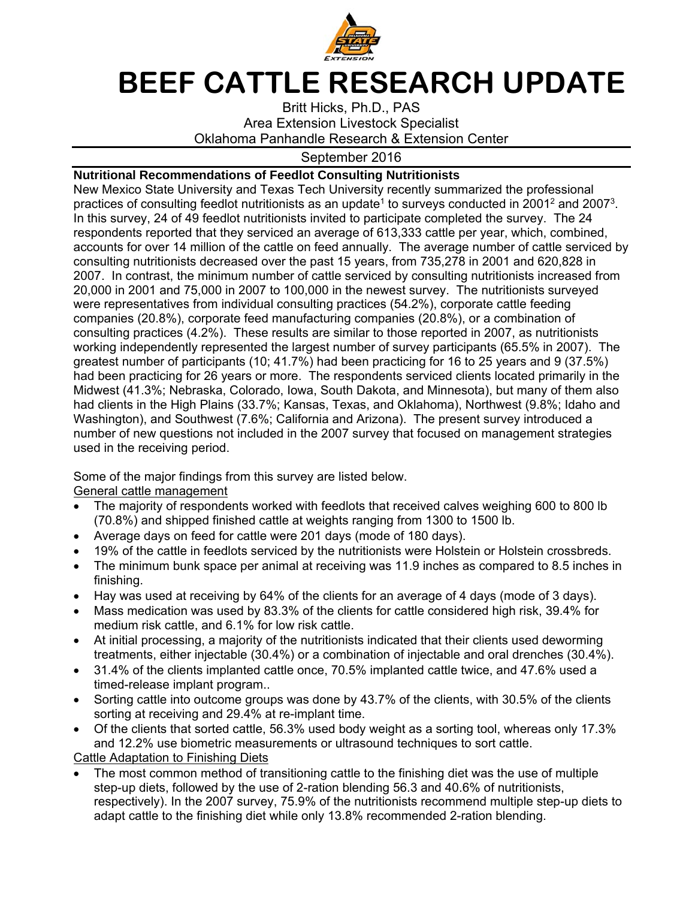

# **BEEF CATTLE RESEARCH UPDATE**

Britt Hicks, Ph.D., PAS Area Extension Livestock Specialist Oklahoma Panhandle Research & Extension Center

# September 2016

## **Nutritional Recommendations of Feedlot Consulting Nutritionists**

New Mexico State University and Texas Tech University recently summarized the professional practices of consulting feedlot nutritionists as an update<sup>1</sup> to surveys conducted in 2001<sup>2</sup> and 2007<sup>3</sup>. In this survey, 24 of 49 feedlot nutritionists invited to participate completed the survey. The 24 respondents reported that they serviced an average of 613,333 cattle per year, which, combined, accounts for over 14 million of the cattle on feed annually. The average number of cattle serviced by consulting nutritionists decreased over the past 15 years, from 735,278 in 2001 and 620,828 in 2007. In contrast, the minimum number of cattle serviced by consulting nutritionists increased from 20,000 in 2001 and 75,000 in 2007 to 100,000 in the newest survey. The nutritionists surveyed were representatives from individual consulting practices (54.2%), corporate cattle feeding companies (20.8%), corporate feed manufacturing companies (20.8%), or a combination of consulting practices (4.2%). These results are similar to those reported in 2007, as nutritionists working independently represented the largest number of survey participants (65.5% in 2007). The greatest number of participants (10; 41.7%) had been practicing for 16 to 25 years and 9 (37.5%) had been practicing for 26 years or more. The respondents serviced clients located primarily in the Midwest (41.3%; Nebraska, Colorado, Iowa, South Dakota, and Minnesota), but many of them also had clients in the High Plains (33.7%; Kansas, Texas, and Oklahoma), Northwest (9.8%; Idaho and Washington), and Southwest (7.6%; California and Arizona). The present survey introduced a number of new questions not included in the 2007 survey that focused on management strategies used in the receiving period.

Some of the major findings from this survey are listed below.

General cattle management

- The majority of respondents worked with feedlots that received calves weighing 600 to 800 lb (70.8%) and shipped finished cattle at weights ranging from 1300 to 1500 lb.
- Average days on feed for cattle were 201 days (mode of 180 days).
- 19% of the cattle in feedlots serviced by the nutritionists were Holstein or Holstein crossbreds.
- The minimum bunk space per animal at receiving was 11.9 inches as compared to 8.5 inches in finishing.
- Hay was used at receiving by 64% of the clients for an average of 4 days (mode of 3 days).
- Mass medication was used by 83.3% of the clients for cattle considered high risk, 39.4% for medium risk cattle, and 6.1% for low risk cattle.
- At initial processing, a majority of the nutritionists indicated that their clients used deworming treatments, either injectable (30.4%) or a combination of injectable and oral drenches (30.4%).
- 31.4% of the clients implanted cattle once, 70.5% implanted cattle twice, and 47.6% used a timed-release implant program..
- Sorting cattle into outcome groups was done by 43.7% of the clients, with 30.5% of the clients sorting at receiving and 29.4% at re-implant time.
- Of the clients that sorted cattle, 56.3% used body weight as a sorting tool, whereas only 17.3% and 12.2% use biometric measurements or ultrasound techniques to sort cattle. Cattle Adaptation to Finishing Diets
- The most common method of transitioning cattle to the finishing diet was the use of multiple step-up diets, followed by the use of 2-ration blending 56.3 and 40.6% of nutritionists, respectively). In the 2007 survey, 75.9% of the nutritionists recommend multiple step-up diets to adapt cattle to the finishing diet while only 13.8% recommended 2-ration blending.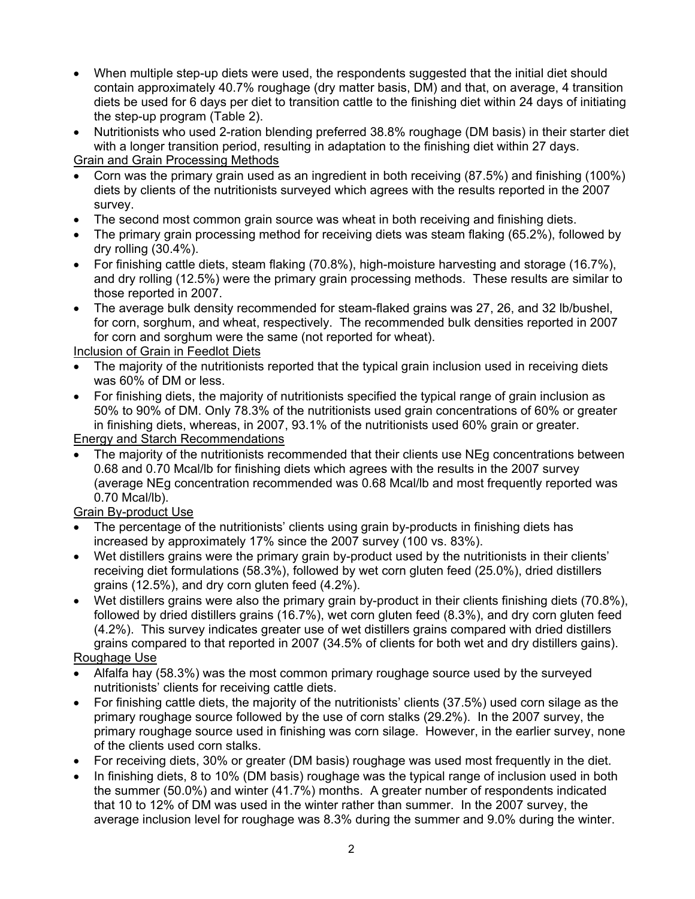When multiple step-up diets were used, the respondents suggested that the initial diet should contain approximately 40.7% roughage (dry matter basis, DM) and that, on average, 4 transition diets be used for 6 days per diet to transition cattle to the finishing diet within 24 days of initiating the step-up program (Table 2).

 Nutritionists who used 2-ration blending preferred 38.8% roughage (DM basis) in their starter diet with a longer transition period, resulting in adaptation to the finishing diet within 27 days.

Grain and Grain Processing Methods

- Corn was the primary grain used as an ingredient in both receiving (87.5%) and finishing (100%) diets by clients of the nutritionists surveyed which agrees with the results reported in the 2007 survey.
- The second most common grain source was wheat in both receiving and finishing diets.
- The primary grain processing method for receiving diets was steam flaking (65.2%), followed by dry rolling (30.4%).
- For finishing cattle diets, steam flaking  $(70.8\%)$ , high-moisture harvesting and storage  $(16.7\%)$ , and dry rolling (12.5%) were the primary grain processing methods. These results are similar to those reported in 2007.
- The average bulk density recommended for steam-flaked grains was 27, 26, and 32 lb/bushel, for corn, sorghum, and wheat, respectively. The recommended bulk densities reported in 2007 for corn and sorghum were the same (not reported for wheat).

Inclusion of Grain in Feedlot Diets

- The majority of the nutritionists reported that the typical grain inclusion used in receiving diets was 60% of DM or less.
- For finishing diets, the majority of nutritionists specified the typical range of grain inclusion as 50% to 90% of DM. Only 78.3% of the nutritionists used grain concentrations of 60% or greater in finishing diets, whereas, in 2007, 93.1% of the nutritionists used 60% grain or greater.

Energy and Starch Recommendations

 The majority of the nutritionists recommended that their clients use NEg concentrations between 0.68 and 0.70 Mcal/lb for finishing diets which agrees with the results in the 2007 survey (average NEg concentration recommended was 0.68 Mcal/lb and most frequently reported was 0.70 Mcal/lb).

Grain By-product Use

- The percentage of the nutritionists' clients using grain by-products in finishing diets has increased by approximately 17% since the 2007 survey (100 vs. 83%).
- Wet distillers grains were the primary grain by-product used by the nutritionists in their clients' receiving diet formulations (58.3%), followed by wet corn gluten feed (25.0%), dried distillers grains (12.5%), and dry corn gluten feed (4.2%).
- Wet distillers grains were also the primary grain by-product in their clients finishing diets (70.8%), followed by dried distillers grains (16.7%), wet corn gluten feed (8.3%), and dry corn gluten feed (4.2%). This survey indicates greater use of wet distillers grains compared with dried distillers grains compared to that reported in 2007 (34.5% of clients for both wet and dry distillers gains).

#### Roughage Use

- Alfalfa hay (58.3%) was the most common primary roughage source used by the surveyed nutritionists' clients for receiving cattle diets.
- For finishing cattle diets, the majority of the nutritionists' clients (37.5%) used corn silage as the primary roughage source followed by the use of corn stalks (29.2%). In the 2007 survey, the primary roughage source used in finishing was corn silage. However, in the earlier survey, none of the clients used corn stalks.
- For receiving diets, 30% or greater (DM basis) roughage was used most frequently in the diet.
- In finishing diets, 8 to 10% (DM basis) roughage was the typical range of inclusion used in both the summer (50.0%) and winter (41.7%) months. A greater number of respondents indicated that 10 to 12% of DM was used in the winter rather than summer. In the 2007 survey, the average inclusion level for roughage was 8.3% during the summer and 9.0% during the winter.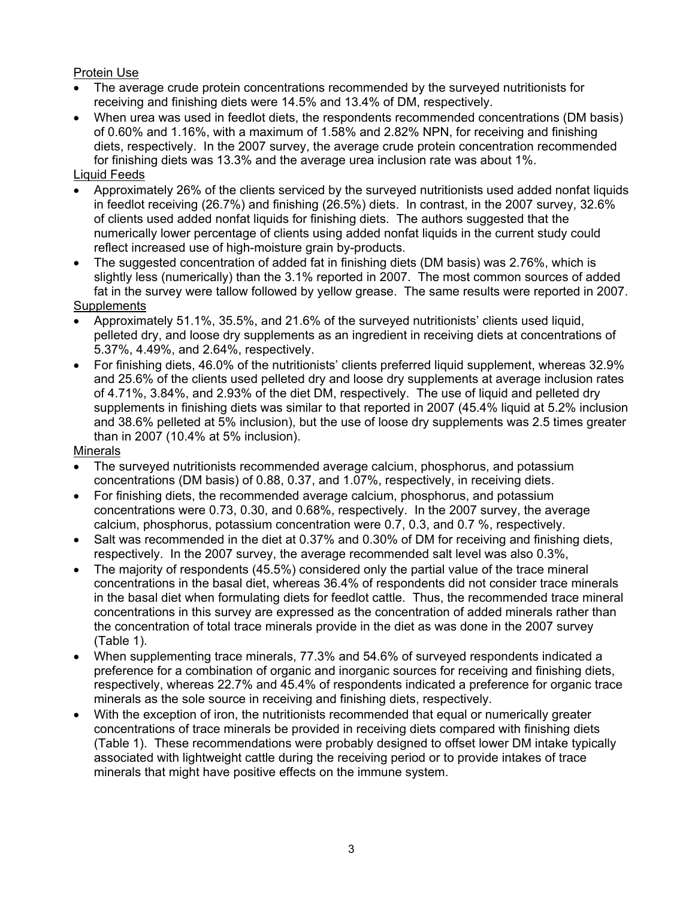# Protein Use

- The average crude protein concentrations recommended by the surveyed nutritionists for receiving and finishing diets were 14.5% and 13.4% of DM, respectively.
- When urea was used in feedlot diets, the respondents recommended concentrations (DM basis) of 0.60% and 1.16%, with a maximum of 1.58% and 2.82% NPN, for receiving and finishing diets, respectively. In the 2007 survey, the average crude protein concentration recommended for finishing diets was 13.3% and the average urea inclusion rate was about 1%.

# Liquid Feeds

- Approximately 26% of the clients serviced by the surveyed nutritionists used added nonfat liquids in feedlot receiving (26.7%) and finishing (26.5%) diets. In contrast, in the 2007 survey, 32.6% of clients used added nonfat liquids for finishing diets. The authors suggested that the numerically lower percentage of clients using added nonfat liquids in the current study could reflect increased use of high-moisture grain by-products.
- The suggested concentration of added fat in finishing diets (DM basis) was 2.76%, which is slightly less (numerically) than the 3.1% reported in 2007. The most common sources of added fat in the survey were tallow followed by yellow grease. The same results were reported in 2007. **Supplements**
- Approximately 51.1%, 35.5%, and 21.6% of the surveyed nutritionists' clients used liquid, pelleted dry, and loose dry supplements as an ingredient in receiving diets at concentrations of 5.37%, 4.49%, and 2.64%, respectively.
- For finishing diets, 46.0% of the nutritionists' clients preferred liquid supplement, whereas 32.9% and 25.6% of the clients used pelleted dry and loose dry supplements at average inclusion rates of 4.71%, 3.84%, and 2.93% of the diet DM, respectively. The use of liquid and pelleted dry supplements in finishing diets was similar to that reported in 2007 (45.4% liquid at 5.2% inclusion and 38.6% pelleted at 5% inclusion), but the use of loose dry supplements was 2.5 times greater than in 2007 (10.4% at 5% inclusion).

#### **Minerals**

- The surveyed nutritionists recommended average calcium, phosphorus, and potassium concentrations (DM basis) of 0.88, 0.37, and 1.07%, respectively, in receiving diets.
- For finishing diets, the recommended average calcium, phosphorus, and potassium concentrations were 0.73, 0.30, and 0.68%, respectively. In the 2007 survey, the average calcium, phosphorus, potassium concentration were 0.7, 0.3, and 0.7 %, respectively.
- Salt was recommended in the diet at 0.37% and 0.30% of DM for receiving and finishing diets, respectively. In the 2007 survey, the average recommended salt level was also 0.3%,
- The majority of respondents (45.5%) considered only the partial value of the trace mineral concentrations in the basal diet, whereas 36.4% of respondents did not consider trace minerals in the basal diet when formulating diets for feedlot cattle. Thus, the recommended trace mineral concentrations in this survey are expressed as the concentration of added minerals rather than the concentration of total trace minerals provide in the diet as was done in the 2007 survey (Table 1).
- When supplementing trace minerals, 77.3% and 54.6% of surveyed respondents indicated a preference for a combination of organic and inorganic sources for receiving and finishing diets, respectively, whereas 22.7% and 45.4% of respondents indicated a preference for organic trace minerals as the sole source in receiving and finishing diets, respectively.
- With the exception of iron, the nutritionists recommended that equal or numerically greater concentrations of trace minerals be provided in receiving diets compared with finishing diets (Table 1). These recommendations were probably designed to offset lower DM intake typically associated with lightweight cattle during the receiving period or to provide intakes of trace minerals that might have positive effects on the immune system.